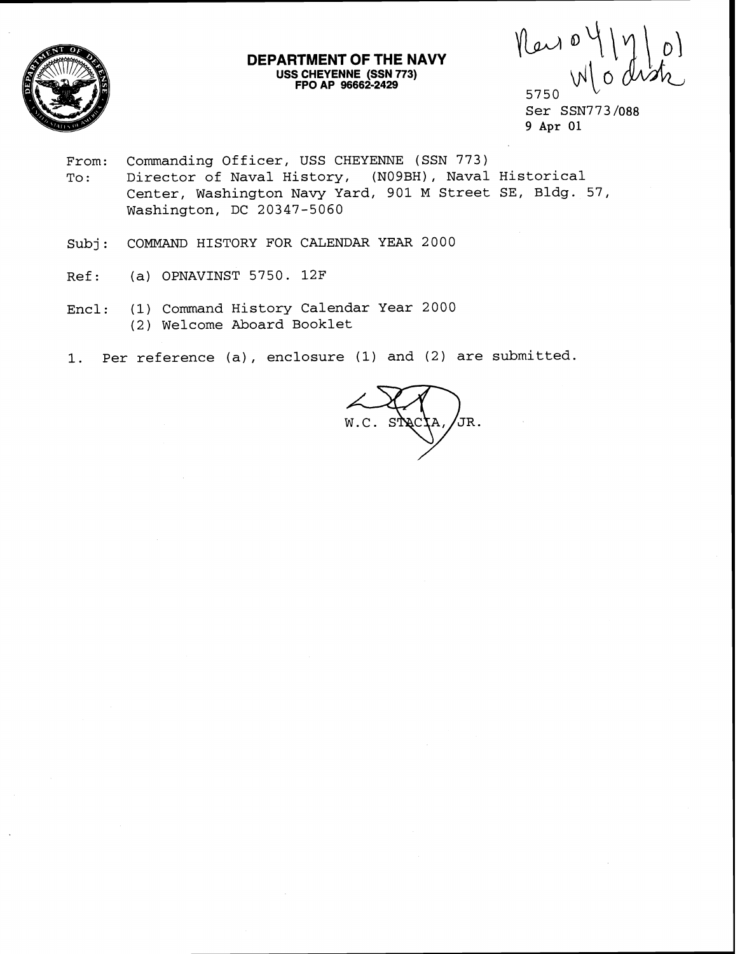

## **DEPARTMENT OF THE NAVY USS CHEYENNE (SSN 773) FPO AP 96662-2429**

New offy<br>Wod 5750

Ser SSN773 /088 9 Apr 01

- From: Commanding Officer, USS CHEYENNE (SSN 773) To: Director of Naval History, (N09BH), Naval Historical Center, Washington Navy Yard, 901 M Street SE, Bldg. 57, Washington, DC 20347-5060
- Subj: COMMAND HISTORY FOR CALENDAR YEAR 2000
- Ref: (a) OPNAVINST 5750. 12F
- Encl: (1) Command History Calendar Year 2000 (2) Welcome Aboard Booklet
- 1. Per reference (a), enclosure (1) and (2) are submitted.

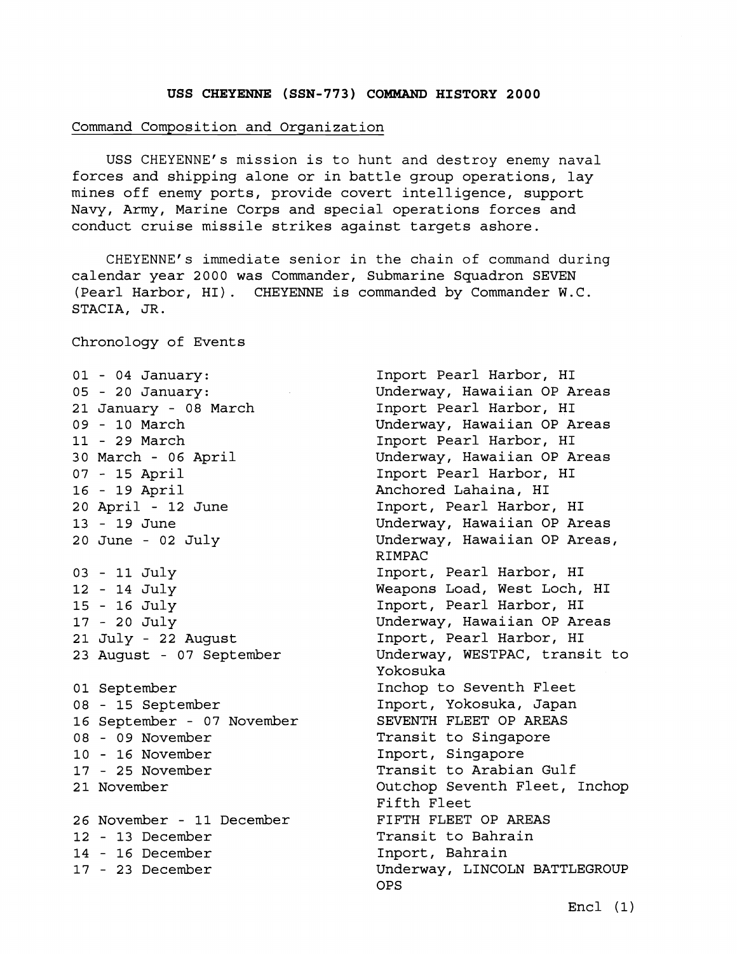## **USS CHEYENNE (SSN-773) COMMAND HISTORY 2000**

## Command Composition and Organization

USS CHEYENNE'S mission is to hunt and destroy enemy naval forces and shipping alone or in battle group operations, lay mines off enemy ports, provide covert intelligence, support Navy, Army, Marine Corps and special operations forces and conduct cruise missile strikes against targets ashore.

CHEYENNE'S immediate senior in the chain of command during calendar year 2000 was Commander, Submarine Squadron SEVEN (Pearl Harbor, HI). CHEYENNE is commanded by Commander W.C. STACIA, JR.

Chronology of Events

- 04 January: - 20 January: 21 January - 08 March - 10 March - 29 March 30 March - 06 April - 15 April - 19 April 20 April - 12 June - 19 June 20 June - 02 July - 11 July - 14 July - 16 July - 20 July 21 July - 22 August 23 August - 07 September 01 September - 15 September 16 September - 07 November - 09 November - 16 November - 25 November 21 November 26 November - 11 December - 13 December - 16 December - 23 December

Inport Pearl Harbor, HI Underway, Hawaiian OP Areas Inport Pearl Harbor, HI Underway, Hawaiian OP Areas Inport Pearl Harbor, HI Underway, Hawaiian OP Areas Inport Pearl Harbor, HI Anchored Lahaina, HI Inport, Pearl Harbor, HI Underway, Hawaiian OP Areas Underway, Hawaiian OP Areas, RIMPAC Inport, Pearl Harbor, HI Weapons Load, West Loch, HI Inport, Pearl Harbor, HI Underway, Hawaiian OP Areas Inport, Pearl Harbor, HI Underway, WESTPAC, transit to Yokosuka Inchop to Seventh Fleet Inport, Yokosuka, Japan SEVENTH FLEET OP AREAS Transit to Singapore Inport, Singapore Transit to Arabian Gulf Outchop Seventh Fleet, Inchop Fifth Fleet FIFTH FLEET OP AREAS Transit to Bahrain Inport, Bahrain Underway, LINCOLN BATTLEGROUP OPS